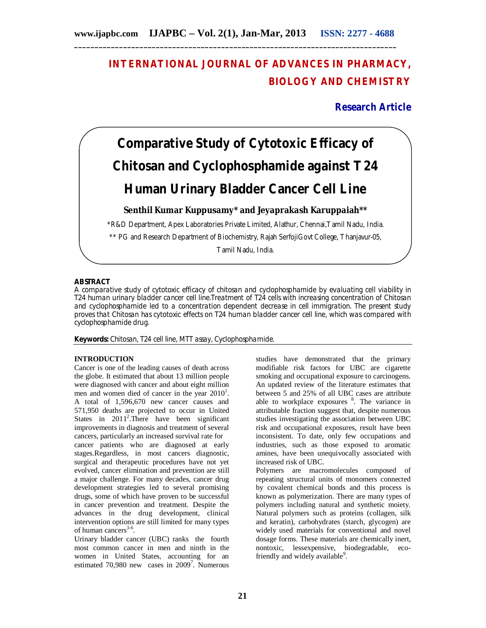## **INTERNATIONAL JOURNAL OF ADVANCES IN PHARMACY, BIOLOGY AND CHEMISTRY**

### **Research Article**

# **Comparative Study of Cytotoxic Efficacy of Chitosan and Cyclophosphamide against T24 Human Urinary Bladder Cancer Cell Line**

**Senthil Kumar Kuppusamy\* and Jeyaprakash Karuppaiah\*\***

\*R&D Department, Apex Laboratories Private Limited, Alathur, Chennai,Tamil Nadu, India.

\*\* PG and Research Department of Biochemistry, Rajah SerfojiGovt College, Thanjavur-05,

Tamil Nadu, India.

#### **ABSTRACT**

A comparative study of cytotoxic efficacy of chitosan and cyclophosphamide by evaluating cell viability in T24 human urinary bladder cancer cell line.Treatment of T24 cells with increasing concentration of Chitosan and cyclophosphamide led to a concentration dependent decrease in cell immigration. The present study proves that Chitosan has cytotoxic effects on T24 human bladder cancer cell line, which was compared with cyclophosphamide drug.

**Keywords:** Chitosan, T24 cell line, MTT assay, Cyclophosphamide.

#### **INTRODUCTION**

Cancer is one of the leading causes of death across the globe. It estimated that about 13 million people were diagnosed with cancer and about eight million men and women died of cancer in the year  $2010<sup>1</sup>$ . A total of 1,596,670 new cancer causes and 571,950 deaths are projected to occur in United States in  $2011^2$ . There have been significant improvements in diagnosis and treatment of several cancers, particularly an increased survival rate for

cancer patients who are diagnosed at early stages.Regardless, in most cancers diagnostic, surgical and therapeutic procedures have not yet evolved, cancer elimination and prevention are still a major challenge. For many decades, cancer drug development strategies led to several promising drugs, some of which have proven to be successful in cancer prevention and treatment. Despite the advances in the drug development, clinical intervention options are still limited for many types of human cancers<sup>3-6</sup>.

Urinary bladder cancer (UBC) ranks the fourth most common cancer in men and ninth in the women in United States, accounting for an estimated 70,980 new cases in  $2009^7$ . Numerous studies have demonstrated that the primary modifiable risk factors for UBC are cigarette smoking and occupational exposure to carcinogens. An updated review of the literature estimates that between 5 and 25% of all UBC cases are attribute able to workplace exposures <sup>8</sup>. The variance in attributable fraction suggest that, despite numerous studies investigating the association between UBC risk and occupational exposures, result have been inconsistent. To date, only few occupations and industries, such as those exposed to aromatic amines, have been unequivocally associated with increased risk of UBC.

Polymers are macromolecules composed of repeating structural units of monomers connected by covalent chemical bonds and this process is known as polymerization. There are many types of polymers including natural and synthetic moiety. Natural polymers such as proteins (collagen, silk and keratin), carbohydrates (starch, glycogen) are widely used materials for conventional and novel dosage forms. These materials are chemically inert, nontoxic, lessexpensive, biodegradable, ecofriendly and widely available<sup>9</sup>.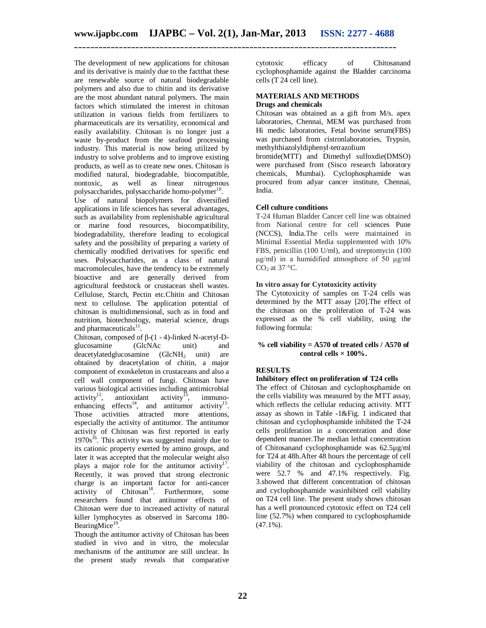The development of new applications for chitosan and its derivative is mainly due to the factthat these are renewable source of natural biodegradable polymers and also due to chitin and its derivative are the most abundant natural polymers. The main factors which stimulated the interest in chitosan utilization in various fields from fertilizers to pharmaceuticals are its versatility, economical and easily availability. Chitosan is no longer just a waste by-product from the seafood processing industry. This material is now being utilized by industry to solve problems and to improve existing products, as well as to create new ones. Chitosan is modified natural, biodegradable, biocompatible, nontoxic, as well as linear nitrogenous polysaccharides, polysaccharide homo-polymer<sup>10</sup>. Use of natural biopolymers for diversified applications in life sciences has several advantages, such as availability from replenishable agricultural or marine food resources, biocompatibility,

biodegradability, therefore leading to ecological safety and the possibility of preparing a variety of chemically modified derivatives for specific end uses. Polysaccharides, as a class of natural macromolecules, have the tendency to be extremely bioactive and are generally derived from agricultural feedstock or crustacean shell wastes. Cellulose, Starch, Pectin etc.Chitin and Chitosan next to cellulose. The application potential of chitosan is multidimensional, such as in food and nutrition, biotechnology, material science, drugs and pharmaceuticals<sup>11</sup>.

Chitosan, composed of β-(1 - 4)-linked N-acetyl-Dglucosamine (GlcNAc unit) and  $deacetylatedglucosamine$  (GlcNH<sub>2</sub> unit) are obtained by deacetylation of chitin, a major component of exoskeleton in crustaceans and also a cell wall component of fungi. Chitosan have various biological activities including antimicrobial activity<sup>12</sup>, antioxidant activity<sup>13</sup>, immunoantioxidant activity<sup>13</sup>, immunoenhancing effects<sup>14</sup>, and antitumor activity<sup>15</sup>. Those activities attracted more attentions, especially the activity of antitumor. The antitumor activity of Chitosan was first reported in early  $1970s^{16}$ . This activity was suggested mainly due to its cationic property exerted by amino groups, and later it was accepted that the molecular weight also plays a major role for the antitumor activity<sup>17</sup>. Recently, it was proved that strong electronic charge is an important factor for anti-cancer activity of  $Chitosan<sup>18</sup>$ . Furthermore, some researchers found that antitumor effects of Chitosan were due to increased activity of natural killer lymphocytes as observed in Sarcoma 180- BearingMice<sup>19</sup>.

Though the antitumor activity of Chitosan has been studied in vivo and in vitro, the molecular mechanisms of the antitumor are still unclear. In the present study reveals that comparative

cytotoxic efficacy of Chitosanand cyclophosphamide against the Bladder carcinoma cells (T 24 cell line).

#### **MATERIALS AND METHODS Drugs and chemicals**

Chitosan was obtained as a gift from M/s. apex laboratories, Chennai, MEM was purchased from Hi medic laboratories, Fetal bovine serum(FBS) was purchased from cistronlaboratories, Trypsin, methylthiazolyldiphenyl-tetrazolium

bromide(MTT) and Dimethyl sulfoxdie(DMSO) were purchased from (Sisco research laboratory chemicals, Mumbai). Cyclophosphamide was procured from adyar cancer institute, Chennai, India.

#### **Cell culture conditions**

T-24 Human Bladder Cancer cell line was obtained from National centre for cell sciences Pune (NCCS), India.The cells were maintained in Minimal Essential Media supplemented with 10% FBS, penicillin (100 U/ml), and streptomycin (100 μg/ml) in a humidified atmosphere of 50 μg/ml  $CO<sub>2</sub>$  at 37 °C.

#### **In vitro assay for Cytotoxicity activity**

The Cytotoxicity of samples on T-24 cells was determined by the MTT assay [20].The effect of the chitosan on the proliferation of T-24 was expressed as the % cell viability, using the following formula:

#### **% cell viability = A570 of treated cells / A570 of control cells × 100%.**

#### **RESULTS**

#### **Inhibitory effect on proliferation of T24 cells**

The effect of Chitosan and cyclophosphamide on the cells viability was measured by the MTT assay, which reflects the cellular reducing activity. MTT assay as shown in Table -1&Fig. 1 indicated that chitosan and cyclophosphamide inhibited the T-24 cells proliferation in a concentration and dose dependent manner.The median lethal concentration of Chitosanand cyclophosphamide was 62.5µg/ml for T24 at 48h.After 48 hours the percentage of cell viability of the chitosan and cyclophosphamide were 52.7 % and 47.1% respectively. Fig. 3.showed that different concentration of chitosan and cyclophosphamide wasinhibited cell viability on T24 cell line. The present study shows chitosan has a well pronounced cytotoxic effect on T24 cell line (52.7%) when compared to cyclophosphamide  $(47.1\%)$ .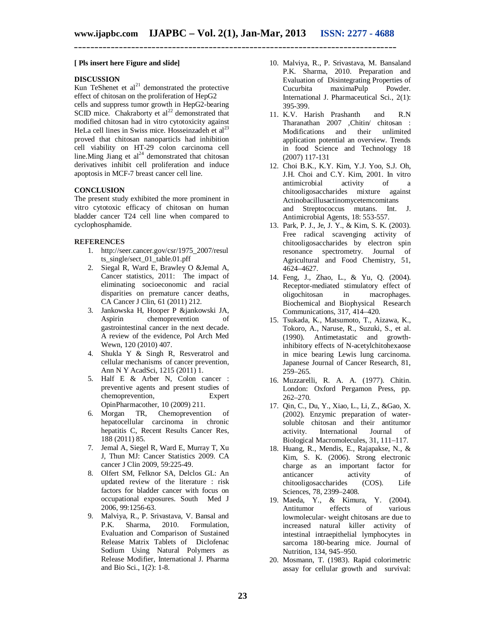#### **[ Pls insert here Figure and slide]**

#### **DISCUSSION**

Kun TeShenet et  $al^{21}$  demonstrated the protective effect of chitosan on the proliferation of HepG2 cells and suppress tumor growth in HepG2-bearing SCID mice. Chakraborty et  $al^{22}$  demonstrated that modified chitosan had in vitro cytotoxicity against HeLa cell lines in Swiss mice. Hosseinzadeh et al<sup>23</sup> proved that chitosan nanoparticls had inhibition cell viability on HT-29 colon carcinoma cell line. Ming Jiang et  $al<sup>24</sup>$  demonstrated that chitosan derivatives inhibit cell proliferation and induce apoptosis in MCF-7 breast cancer cell line.

#### **CONCLUSION**

The present study exhibited the more prominent in vitro cytotoxic efficacy of chitosan on human bladder cancer T24 cell line when compared to cyclophosphamide.

#### **REFERENCES**

- 1. http://seer.cancer.gov/csr/1975\_2007/resul ts\_single/sect\_01\_table.01.pff
- 2. Siegal R, Ward E, Brawley O &Jemal A, Cancer statistics, 2011: The impact of eliminating socioeconomic and racial disparities on premature cancer deaths, CA Cancer J Clin, 61 (2011) 212.
- 3. Jankowska H, Hooper P &jankowski JA, chemoprevention gastrointestinal cancer in the next decade. A review of the evidence, Pol Arch Med Wewn, 120 (2010) 407.
- 4. Shukla Y & Singh R, Resveratrol and cellular mechanisms of cancer prevention, Ann N Y AcadSci, 1215 (2011) 1.
- 5. Half E & Arber N, Colon cancer : preventive agents and present studies of chemoprevention, Expert OpinPharmacother, 10 (2009) 211.
- 6. Morgan TR, Chemoprevention of hepatocellular carcinoma in chronic hepatitis C, Recent Results Cancer Res, 188 (2011) 85.
- 7. Jemal A, Siegel R, Ward E, Murray T, Xu J, Thun MJ: Cancer Statistics 2009. CA cancer J Clin 2009, 59:225-49.
- 8. Olfert SM, Felknor SA, Delclos GL: An updated review of the literature : risk factors for bladder cancer with focus on occupational exposures. South Med J 2006, 99:1256-63.
- 9. Malviya, R., P. Srivastava, V. Bansal and P.K. Sharma, 2010. Formulation, Evaluation and Comparison of Sustained Release Matrix Tablets of Diclofenac Sodium Using Natural Polymers as Release Modifier, International J. Pharma and Bio Sci., 1(2): 1-8.
- 10. Malviya, R., P. Srivastava, M. Bansaland P.K. Sharma, 2010. Preparation and Evaluation of Disintegrating Properties of Cucurbita maximaPulp Powder. International J. Pharmaceutical Sci., 2(1): 395-399.
- 11. K.V. Harish Prashanth and R.N Tharanathan 2007 ,Chitin/ chitosan : Modifications and their unlimited application potential an overview. Trends in food Science and Technology 18 (2007) 117-131
- 12. Choi B.K., K.Y. Kim, Y.J. Yoo, S.J. Oh, J.H. Choi and C.Y. Kim, 2001. In vitro antimicrobial activity of chitooligosaccharides mixture against Actinobacillusactinomycetemcomitans and Streptococcus mutans. Int. J. Antimicrobial Agents, 18: 553-557.
- 13. Park, P. J., Je, J. Y., & Kim, S. K. (2003). Free radical scavenging activity of chitooligosaccharides by electron spin resonance spectrometry. Journal of Agricultural and Food Chemistry, 51, 4624–4627.
- 14. Feng, J., Zhao, L., & Yu, Q. (2004). Receptor-mediated stimulatory effect of oligochitosan in macrophages. Biochemical and Biophysical Research Communications, 317, 414–420.
- 15. Tsukada, K., Matsumoto, T., Aizawa, K., Tokoro, A., Naruse, R., Suzuki, S., et al. (1990). Antimetastatic and growthinhibitory effects of N-acetylchitohexaose in mice bearing Lewis lung carcinoma. Japanese Journal of Cancer Research, 81, 259–265.
- 16. Muzzarelli, R. A. A. (1977). Chitin. London: Oxford Pergamon Press, pp. 262–270.
- 17. Qin, C., Du, Y., Xiao, L., Li, Z., &Gao, X. (2002). Enzymic preparation of watersoluble chitosan and their antitumor activity. International Journal of Biological Macromolecules, 31, 111–117.
- 18. Huang, R., Mendis, E., Rajapakse, N., & Kim, S. K. (2006). Strong electronic charge as an important factor for anticancer activity of chitooligosaccharides (COS). Life Sciences, 78, 2399–2408.
- 19. Maeda, Y., & Kimura, Y. (2004). Antitumor effects of various lowmolecular- weight chitosans are due to increased natural killer activity of intestinal intraepithelial lymphocytes in sarcoma 180-bearing mice. Journal of Nutrition, 134, 945–950.
- 20. Mosmann, T. (1983). Rapid colorimetric assay for cellular growth and survival: